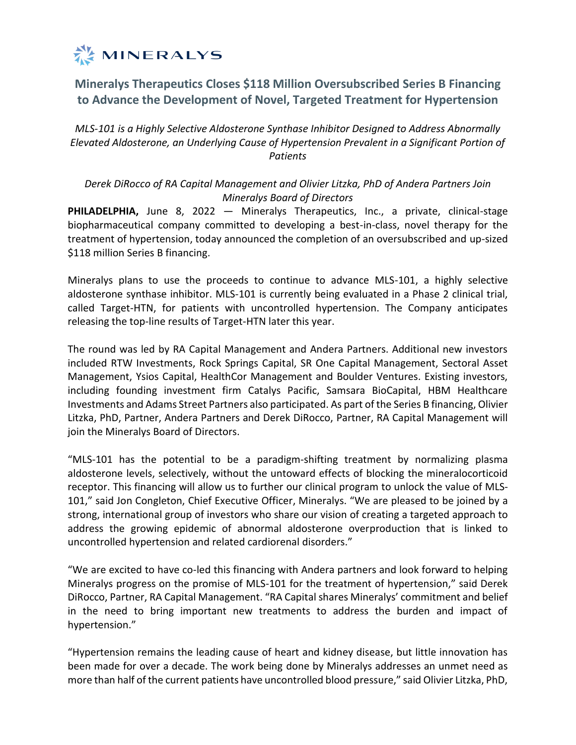

# **Mineralys Therapeutics Closes \$118 Million Oversubscribed Series B Financing to Advance the Development of Novel, Targeted Treatment for Hypertension**

*MLS-101 is a Highly Selective Aldosterone Synthase Inhibitor Designed to Address Abnormally Elevated Aldosterone, an Underlying Cause of Hypertension Prevalent in a Significant Portion of Patients*

*Derek DiRocco of RA Capital Management and Olivier Litzka, PhD of Andera Partners Join Mineralys Board of Directors*

**PHILADELPHIA,** June 8, 2022 — Mineralys Therapeutics, Inc., a private, clinical-stage biopharmaceutical company committed to developing a best-in-class, novel therapy for the treatment of hypertension, today announced the completion of an oversubscribed and up-sized \$118 million Series B financing.

Mineralys plans to use the proceeds to continue to advance MLS-101, a highly selective aldosterone synthase inhibitor. MLS-101 is currently being evaluated in a Phase 2 clinical trial, called Target-HTN, for patients with uncontrolled hypertension. The Company anticipates releasing the top-line results of Target-HTN later this year.

The round was led by RA Capital Management and Andera Partners. Additional new investors included RTW Investments, Rock Springs Capital, SR One Capital Management, Sectoral Asset Management, Ysios Capital, HealthCor Management and Boulder Ventures. Existing investors, including founding investment firm Catalys Pacific, Samsara BioCapital, HBM Healthcare Investments and Adams Street Partners also participated. As part of the Series B financing, Olivier Litzka, PhD, Partner, Andera Partners and Derek DiRocco, Partner, RA Capital Management will join the Mineralys Board of Directors.

"MLS-101 has the potential to be a paradigm-shifting treatment by normalizing plasma aldosterone levels, selectively, without the untoward effects of blocking the mineralocorticoid receptor. This financing will allow us to further our clinical program to unlock the value of MLS-101," said Jon Congleton, Chief Executive Officer, Mineralys. "We are pleased to be joined by a strong, international group of investors who share our vision of creating a targeted approach to address the growing epidemic of abnormal aldosterone overproduction that is linked to uncontrolled hypertension and related cardiorenal disorders."

"We are excited to have co-led this financing with Andera partners and look forward to helping Mineralys progress on the promise of MLS-101 for the treatment of hypertension," said Derek DiRocco, Partner, RA Capital Management. "RA Capital shares Mineralys' commitment and belief in the need to bring important new treatments to address the burden and impact of hypertension."

"Hypertension remains the leading cause of heart and kidney disease, but little innovation has been made for over a decade. The work being done by Mineralys addresses an unmet need as more than half of the current patients have uncontrolled blood pressure," said Olivier Litzka, PhD,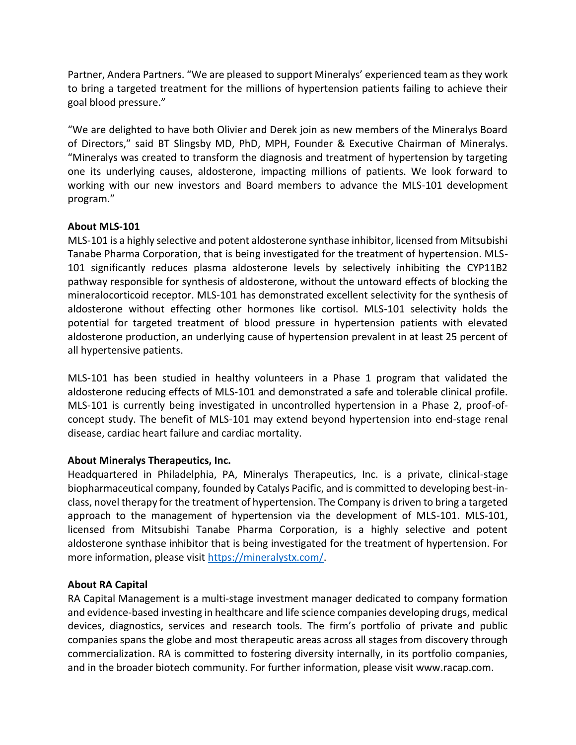Partner, Andera Partners. "We are pleased to support Mineralys' experienced team as they work to bring a targeted treatment for the millions of hypertension patients failing to achieve their goal blood pressure."

"We are delighted to have both Olivier and Derek join as new members of the Mineralys Board of Directors," said BT Slingsby MD, PhD, MPH, Founder & Executive Chairman of Mineralys. "Mineralys was created to transform the diagnosis and treatment of hypertension by targeting one its underlying causes, aldosterone, impacting millions of patients. We look forward to working with our new investors and Board members to advance the MLS-101 development program."

#### **About MLS-101**

MLS-101 is a highly selective and potent aldosterone synthase inhibitor, licensed from Mitsubishi Tanabe Pharma Corporation, that is being investigated for the treatment of hypertension. MLS-101 significantly reduces plasma aldosterone levels by selectively inhibiting the CYP11B2 pathway responsible for synthesis of aldosterone, without the untoward effects of blocking the mineralocorticoid receptor. MLS-101 has demonstrated excellent selectivity for the synthesis of aldosterone without effecting other hormones like cortisol. MLS-101 selectivity holds the potential for targeted treatment of blood pressure in hypertension patients with elevated aldosterone production, an underlying cause of hypertension prevalent in at least 25 percent of all hypertensive patients.

MLS-101 has been studied in healthy volunteers in a Phase 1 program that validated the aldosterone reducing effects of MLS-101 and demonstrated a safe and tolerable clinical profile. MLS-101 is currently being investigated in uncontrolled hypertension in a Phase 2, proof-ofconcept study. The benefit of MLS-101 may extend beyond hypertension into end-stage renal disease, cardiac heart failure and cardiac mortality.

## **About Mineralys Therapeutics, Inc.**

Headquartered in Philadelphia, PA, Mineralys Therapeutics, Inc. is a private, clinical-stage biopharmaceutical company, founded by Catalys Pacific, and is committed to developing best-inclass, novel therapy for the treatment of hypertension. The Company is driven to bring a targeted approach to the management of hypertension via the development of MLS-101. MLS-101, licensed from Mitsubishi Tanabe Pharma Corporation, is a highly selective and potent aldosterone synthase inhibitor that is being investigated for the treatment of hypertension. For more information, please visit [https://mineralystx.com/.](https://mineralystx.com/)

## **About RA Capital**

RA Capital Management is a multi-stage investment manager dedicated to company formation and evidence-based investing in healthcare and life science companies developing drugs, medical devices, diagnostics, services and research tools. The firm's portfolio of private and public companies spans the globe and most therapeutic areas across all stages from discovery through commercialization. RA is committed to fostering diversity internally, in its portfolio companies, and in the broader biotech community. For further information, please visit www.racap.com.